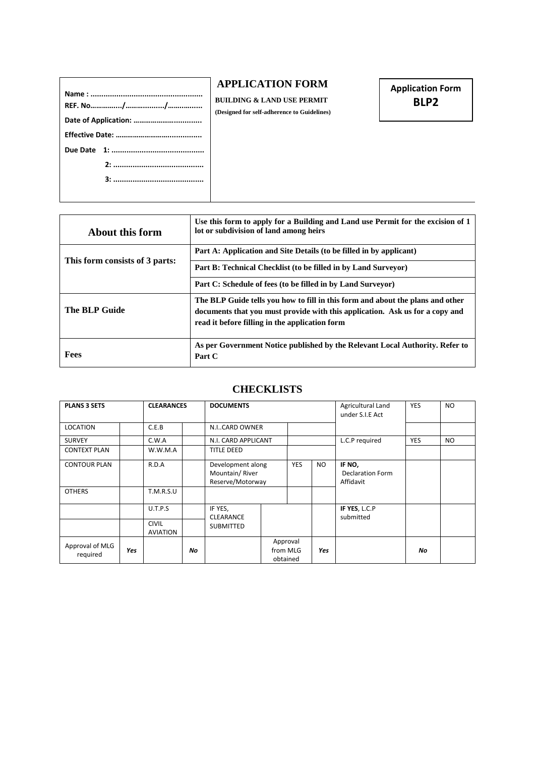## **APPLICATION FORM**

**BUILDING & LAND USE PERMIT (Designed for self-adherence to Guidelines)** **Application Form BLP2**

| About this form                | Use this form to apply for a Building and Land use Permit for the excision of 1<br>lot or subdivision of land among heirs                                                                                        |
|--------------------------------|------------------------------------------------------------------------------------------------------------------------------------------------------------------------------------------------------------------|
|                                | Part A: Application and Site Details (to be filled in by applicant)                                                                                                                                              |
| This form consists of 3 parts: | Part B: Technical Checklist (to be filled in by Land Surveyor)                                                                                                                                                   |
|                                | Part C: Schedule of fees (to be filled in by Land Surveyor)                                                                                                                                                      |
| <b>The BLP Guide</b>           | The BLP Guide tells you how to fill in this form and about the plans and other<br>documents that you must provide with this application. Ask us for a copy and<br>read it before filling in the application form |
| Fees                           | As per Government Notice published by the Relevant Local Authority. Refer to<br>Part C                                                                                                                           |

## **CHECKLISTS**

| <b>PLANS 3 SETS</b>                  |     | <b>CLEARANCES</b>               |    | <b>DOCUMENTS</b>                                        |                                  |            | Agricultural Land<br>under S.I.E Act | <b>YES</b>                                     | <b>NO</b>  |           |
|--------------------------------------|-----|---------------------------------|----|---------------------------------------------------------|----------------------------------|------------|--------------------------------------|------------------------------------------------|------------|-----------|
| <b>LOCATION</b>                      |     | C.E.B                           |    | N.ICARD OWNER                                           |                                  |            |                                      |                                                |            |           |
| <b>SURVEY</b>                        |     | C.W.A                           |    | N.I. CARD APPLICANT                                     |                                  |            |                                      | L.C.P required                                 | <b>YES</b> | <b>NO</b> |
| <b>CONTEXT PLAN</b>                  |     | W.W.M.A                         |    | <b>TITLE DEED</b>                                       |                                  |            |                                      |                                                |            |           |
| <b>CONTOUR PLAN</b><br><b>OTHERS</b> |     | R.D.A<br>T.M.R.S.U              |    | Development along<br>Mountain/River<br>Reserve/Motorway |                                  | <b>YES</b> | NO.                                  | IF NO,<br><b>Declaration Form</b><br>Affidavit |            |           |
|                                      |     |                                 |    |                                                         |                                  |            |                                      |                                                |            |           |
|                                      |     | U.T.P.S                         |    | IF YES,<br><b>CLEARANCE</b>                             |                                  |            |                                      | IF YES, L.C.P<br>submitted                     |            |           |
|                                      |     | <b>CIVIL</b><br><b>AVIATION</b> |    | <b>SUBMITTED</b>                                        |                                  |            |                                      |                                                |            |           |
| Approval of MLG<br>required          | Yes |                                 | No |                                                         | Approval<br>from MLG<br>obtained |            | <b>Yes</b>                           |                                                | No         |           |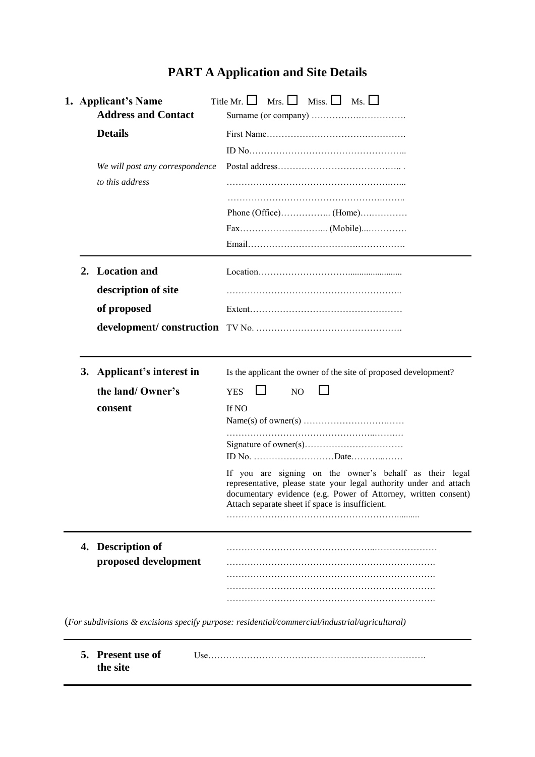# **PART A Application and Site Details**

| 1. Applicant's Name<br><b>Address and Contact</b> |                                                    | Title Mr. $\Box$ Mrs. $\Box$ Miss. $\Box$ Ms. $\Box$                                                                                                                                                                                               |  |  |  |  |
|---------------------------------------------------|----------------------------------------------------|----------------------------------------------------------------------------------------------------------------------------------------------------------------------------------------------------------------------------------------------------|--|--|--|--|
|                                                   | <b>Details</b>                                     |                                                                                                                                                                                                                                                    |  |  |  |  |
|                                                   |                                                    |                                                                                                                                                                                                                                                    |  |  |  |  |
|                                                   | We will post any correspondence<br>to this address |                                                                                                                                                                                                                                                    |  |  |  |  |
|                                                   |                                                    |                                                                                                                                                                                                                                                    |  |  |  |  |
|                                                   |                                                    |                                                                                                                                                                                                                                                    |  |  |  |  |
|                                                   |                                                    |                                                                                                                                                                                                                                                    |  |  |  |  |
|                                                   |                                                    |                                                                                                                                                                                                                                                    |  |  |  |  |
|                                                   | 2. Location and                                    |                                                                                                                                                                                                                                                    |  |  |  |  |
|                                                   | description of site                                |                                                                                                                                                                                                                                                    |  |  |  |  |
|                                                   | of proposed                                        |                                                                                                                                                                                                                                                    |  |  |  |  |
|                                                   |                                                    |                                                                                                                                                                                                                                                    |  |  |  |  |
|                                                   | 3. Applicant's interest in                         | Is the applicant the owner of the site of proposed development?                                                                                                                                                                                    |  |  |  |  |
|                                                   | the land/ Owner's                                  | <b>YES</b><br>NO                                                                                                                                                                                                                                   |  |  |  |  |
|                                                   | consent                                            | If NO                                                                                                                                                                                                                                              |  |  |  |  |
|                                                   |                                                    |                                                                                                                                                                                                                                                    |  |  |  |  |
|                                                   |                                                    | If you are signing on the owner's behalf as their legal<br>representative, please state your legal authority under and attach<br>documentary evidence (e.g. Power of Attorney, written consent)<br>Attach separate sheet if space is insufficient. |  |  |  |  |
|                                                   |                                                    |                                                                                                                                                                                                                                                    |  |  |  |  |
|                                                   |                                                    |                                                                                                                                                                                                                                                    |  |  |  |  |
|                                                   | 4. Description of                                  |                                                                                                                                                                                                                                                    |  |  |  |  |
|                                                   | proposed development                               |                                                                                                                                                                                                                                                    |  |  |  |  |

 **the site** 

**5. Present use of** Use……………………………………………………………….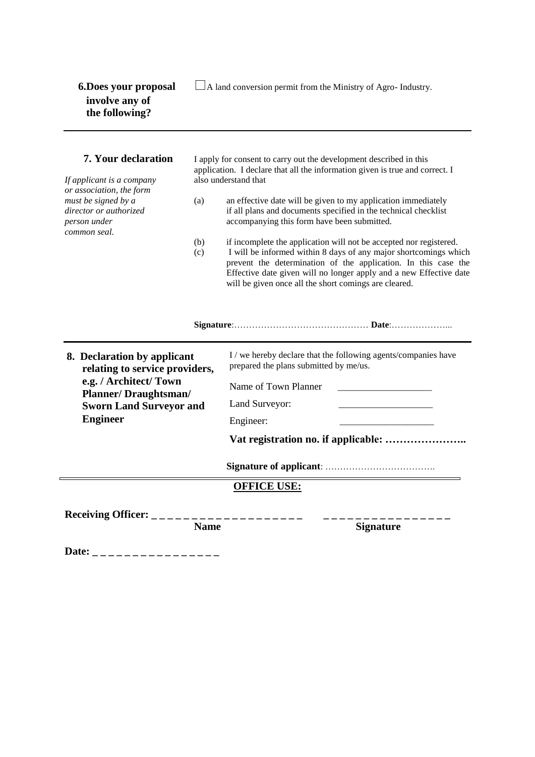**6.Does your proposal**  $\Box$  A land conversion permit from the Ministry of Agro- Industry.

*If applicant is a company* also understand that *or association, the form common seal.*

**7. Your declaration** I apply for consent to carry out the development described in this application. I declare that all the information given is true and correct. I

- *must be signed by a* (a) an effective date will be given to my application immediately *director or authorized* if all plans and documents specified in the technical checklist *person under* accompanying this form have been submitted.
	- (b) if incomplete the application will not be accepted nor registered.
	- (c) I will be informed within 8 days of any major shortcomings which prevent the determination of the application. In this case the Effective date given will no longer apply and a new Effective date will be given once all the short comings are cleared.

### **Signature**:……………………………………… **Date**:………………...

**8. Declaration by applicant relating to service providers, e.g. / Architect/ Town Planner/ Draughtsman/ Sworn Land Surveyor and Engineer**

| prepared the plans submitted by me/us. |  |  |
|----------------------------------------|--|--|
| Name of Town Planner                   |  |  |
| Land Surveyor:                         |  |  |

I / we hereby declare that the following agents/companies have

**Vat registration no. if applicable: …………………..** 

**Signature of applicant**: ……………………………….

**OFFICE USE:**

Engineer:

**Receiving Officer: \_ \_ \_ \_ \_ \_ \_ \_ \_ \_ \_ \_ \_ \_ \_ \_ \_ \_ \_ \_ \_ \_ \_ \_ \_ \_ \_ \_ \_ \_ \_ \_ \_ \_ \_**

**Name Signature** 

Date: \_ \_ \_ \_ \_ \_ \_ \_ \_ \_ \_ \_ \_ \_ \_ \_ \_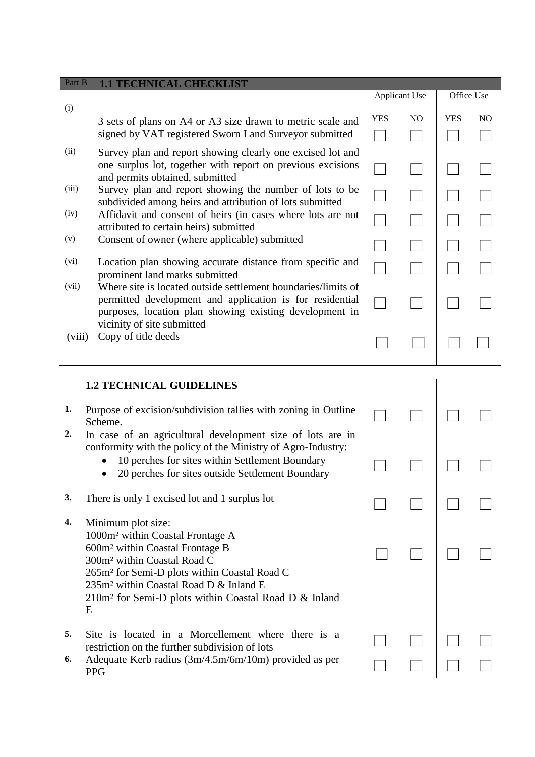| Part B   | <b>1.1 TECHNICAL CHECKLIST</b>                                                                                                                                                                                                                                                                                                                      |                      |                |            |                |
|----------|-----------------------------------------------------------------------------------------------------------------------------------------------------------------------------------------------------------------------------------------------------------------------------------------------------------------------------------------------------|----------------------|----------------|------------|----------------|
|          |                                                                                                                                                                                                                                                                                                                                                     | <b>Applicant Use</b> |                | Office Use |                |
| (i)      | 3 sets of plans on A4 or A3 size drawn to metric scale and<br>signed by VAT registered Sworn Land Surveyor submitted                                                                                                                                                                                                                                | <b>YES</b>           | N <sub>O</sub> | <b>YES</b> | N <sub>O</sub> |
| (ii)     | Survey plan and report showing clearly one excised lot and<br>one surplus lot, together with report on previous excisions<br>and permits obtained, submitted                                                                                                                                                                                        |                      |                |            |                |
| (iii)    | Survey plan and report showing the number of lots to be<br>subdivided among heirs and attribution of lots submitted                                                                                                                                                                                                                                 |                      |                |            |                |
| (iv)     | Affidavit and consent of heirs (in cases where lots are not<br>attributed to certain heirs) submitted                                                                                                                                                                                                                                               |                      |                |            |                |
| (v)      | Consent of owner (where applicable) submitted                                                                                                                                                                                                                                                                                                       |                      |                |            |                |
| (vi)     | Location plan showing accurate distance from specific and<br>prominent land marks submitted                                                                                                                                                                                                                                                         |                      |                |            |                |
| (vii)    | Where site is located outside settlement boundaries/limits of<br>permitted development and application is for residential<br>purposes, location plan showing existing development in<br>vicinity of site submitted                                                                                                                                  |                      |                |            |                |
| (viii)   | Copy of title deeds                                                                                                                                                                                                                                                                                                                                 |                      |                |            |                |
|          | <b>1.2 TECHNICAL GUIDELINES</b>                                                                                                                                                                                                                                                                                                                     |                      |                |            |                |
| 1.<br>2. | Purpose of excision/subdivision tallies with zoning in Outline<br>Scheme.<br>In case of an agricultural development size of lots are in                                                                                                                                                                                                             |                      |                |            |                |
|          | conformity with the policy of the Ministry of Agro-Industry:<br>10 perches for sites within Settlement Boundary<br>20 perches for sites outside Settlement Boundary                                                                                                                                                                                 |                      |                |            |                |
| 3.       | There is only 1 excised lot and 1 surplus lot                                                                                                                                                                                                                                                                                                       |                      |                |            |                |
| 4.       | Minimum plot size:<br>1000m <sup>2</sup> within Coastal Frontage A<br>600m <sup>2</sup> within Coastal Frontage B<br>300m <sup>2</sup> within Coastal Road C<br>265m <sup>2</sup> for Semi-D plots within Coastal Road C<br>235m <sup>2</sup> within Coastal Road D & Inland E<br>210m <sup>2</sup> for Semi-D plots within Coastal Road D & Inland |                      |                |            |                |
| 5.<br>6. | E<br>Site is located in a Morcellement where there is a<br>restriction on the further subdivision of lots<br>Adequate Kerb radius (3m/4.5m/6m/10m) provided as per<br><b>PPG</b>                                                                                                                                                                    |                      |                |            |                |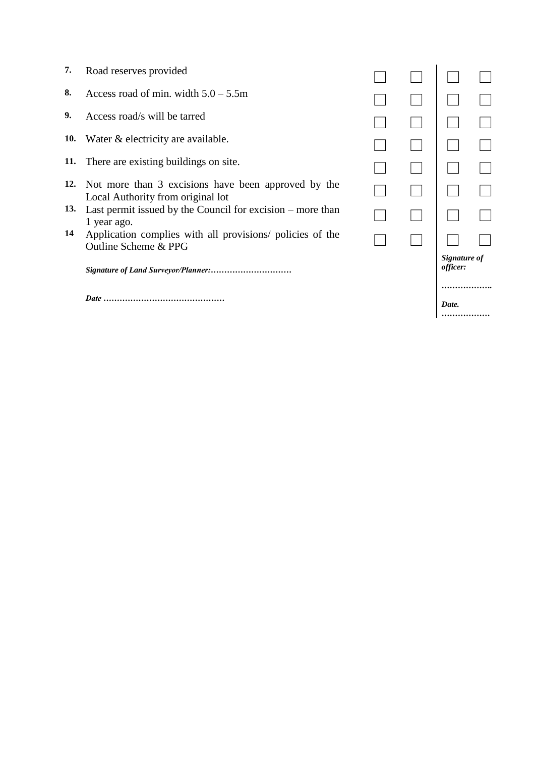- 7. Road reserves provided<br>8. Access road of min. wid
- 8. Access road of min. width  $5.0 5.5$ m<br>9. Access road/s will be tarred
- **9.** Access road/s will be tarred
- **10.** Water & electricity are available.
- **11.** There are existing buildings on site.
- **12.** Not more than 3 excisions have been approved by the  $\Box$   $\Box$   $\Box$
- 13. Last permit issued by the Council for excision more than  $1$  year ago.  $\Box$
- **14** Application complies with all provisions/ policies of the  $\Box$   $\Box$   $\Box$   $\Box$

*Signature of Land Surveyor/Planner:…………………………*

*Date ………………………………………*

|  | Signature of<br>officer: |  |
|--|--------------------------|--|
|  |                          |  |
|  | Date.                    |  |